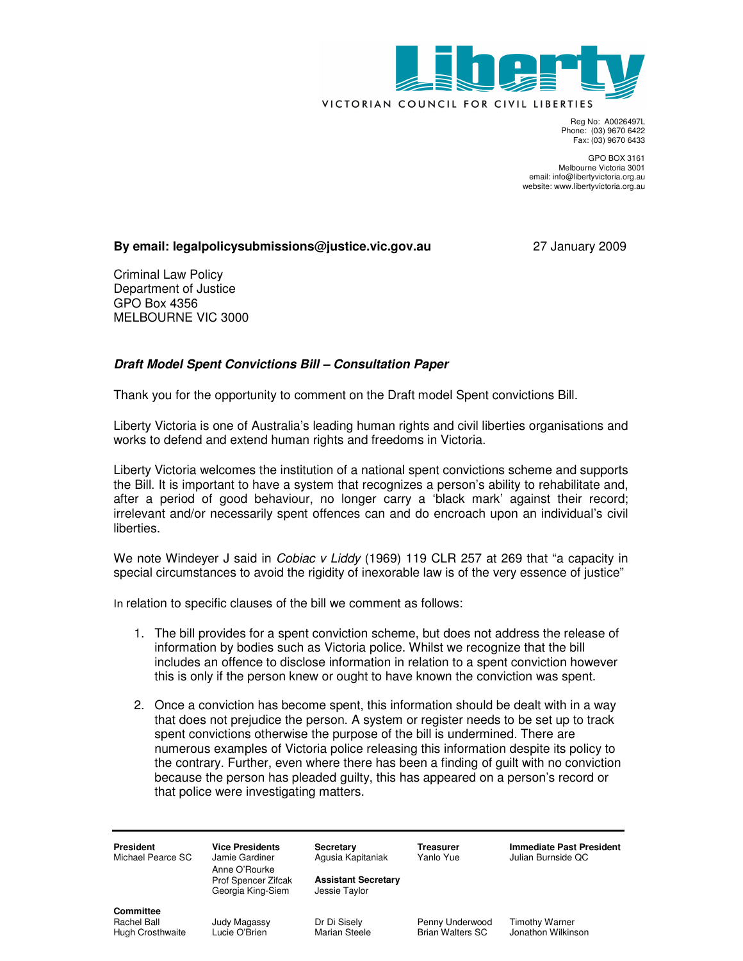

Reg No: A0026497L Phone: (03) 9670 6422 Fax: (03) 9670 6433

GPO BOX 3161 Melbourne Victoria 3001 email: info@libertyvictoria.org.au website: www.libertyvictoria.org.au

## **By email: legalpolicysubmissions@justice.vic.gov.au** 27 January 2009

Criminal Law Policy Department of Justice GPO Box 4356 MELBOURNE VIC 3000

## **Draft Model Spent Convictions Bill – Consultation Paper**

Thank you for the opportunity to comment on the Draft model Spent convictions Bill.

Liberty Victoria is one of Australia's leading human rights and civil liberties organisations and works to defend and extend human rights and freedoms in Victoria.

Liberty Victoria welcomes the institution of a national spent convictions scheme and supports the Bill. It is important to have a system that recognizes a person's ability to rehabilitate and, after a period of good behaviour, no longer carry a 'black mark' against their record; irrelevant and/or necessarily spent offences can and do encroach upon an individual's civil liberties.

We note Windeyer J said in *Cobiac v Liddy* (1969) 119 CLR 257 at 269 that "a capacity in special circumstances to avoid the rigidity of inexorable law is of the very essence of justice"

In relation to specific clauses of the bill we comment as follows:

- 1. The bill provides for a spent conviction scheme, but does not address the release of information by bodies such as Victoria police. Whilst we recognize that the bill includes an offence to disclose information in relation to a spent conviction however this is only if the person knew or ought to have known the conviction was spent.
- 2. Once a conviction has become spent, this information should be dealt with in a way that does not prejudice the person. A system or register needs to be set up to track spent convictions otherwise the purpose of the bill is undermined. There are numerous examples of Victoria police releasing this information despite its policy to the contrary. Further, even where there has been a finding of guilt with no conviction because the person has pleaded guilty, this has appeared on a person's record or that police were investigating matters.

| <b>President</b><br>Michael Pearce SC                      | <b>Vice Presidents</b><br>Jamie Gardiner<br>Anne O'Rourke<br>Prof Spencer Zifcak<br>Georgia King-Siem | Secretary<br>Agusia Kapitaniak<br><b>Assistant Secretary</b><br>Jessie Taylor | Treasurer<br>Yanlo Yue              | <b>Immediate Past President</b><br>Julian Burnside QC |
|------------------------------------------------------------|-------------------------------------------------------------------------------------------------------|-------------------------------------------------------------------------------|-------------------------------------|-------------------------------------------------------|
| <b>Committee</b><br>Rachel Ball<br><b>Hugh Crosthwaite</b> | Judy Magassy<br>Lucie O'Brien                                                                         | Dr Di Sisely<br><b>Marian Steele</b>                                          | Penny Underwood<br>Brian Walters SC | <b>Timothy Warner</b><br>Jonathon Wilkinson           |